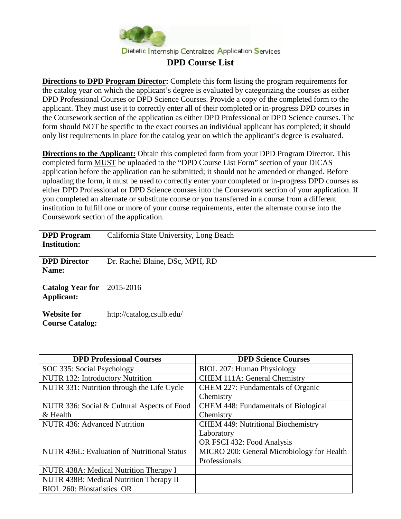

**Directions to DPD Program Director:** Complete this form listing the program requirements for the catalog year on which the applicant's degree is evaluated by categorizing the courses as either DPD Professional Courses or DPD Science Courses. Provide a copy of the completed form to the applicant. They must use it to correctly enter all of their completed or in-progress DPD courses in the Coursework section of the application as either DPD Professional or DPD Science courses. The form should NOT be specific to the exact courses an individual applicant has completed; it should only list requirements in place for the catalog year on which the applicant's degree is evaluated.

**Directions to the Applicant:** Obtain this completed form from your DPD Program Director. This completed form MUST be uploaded to the "DPD Course List Form" section of your DICAS application before the application can be submitted; it should not be amended or changed. Before uploading the form, it must be used to correctly enter your completed or in-progress DPD courses as either DPD Professional or DPD Science courses into the Coursework section of your application. If you completed an alternate or substitute course or you transferred in a course from a different institution to fulfill one or more of your course requirements, enter the alternate course into the Coursework section of the application.

| California State University, Long Beach |
|-----------------------------------------|
|                                         |
| Dr. Rachel Blaine, DSc, MPH, RD         |
|                                         |
| 2015-2016                               |
|                                         |
| http://catalog.csulb.edu/               |
|                                         |
|                                         |

| <b>DPD Professional Courses</b>                    | <b>DPD Science Courses</b>                 |
|----------------------------------------------------|--------------------------------------------|
| SOC 335: Social Psychology                         | BIOL 207: Human Physiology                 |
| NUTR 132: Introductory Nutrition                   | <b>CHEM 111A: General Chemistry</b>        |
| NUTR 331: Nutrition through the Life Cycle         | CHEM 227: Fundamentals of Organic          |
|                                                    | Chemistry                                  |
| NUTR 336: Social & Cultural Aspects of Food        | CHEM 448: Fundamentals of Biological       |
| & Health                                           | Chemistry                                  |
| <b>NUTR 436: Advanced Nutrition</b>                | <b>CHEM 449: Nutritional Biochemistry</b>  |
|                                                    | Laboratory                                 |
|                                                    | OR FSCI 432: Food Analysis                 |
| <b>NUTR 436L: Evaluation of Nutritional Status</b> | MICRO 200: General Microbiology for Health |
|                                                    | Professionals                              |
| NUTR 438A: Medical Nutrition Therapy I             |                                            |
| NUTR 438B: Medical Nutrition Therapy II            |                                            |
| <b>BIOL 260: Biostatistics OR</b>                  |                                            |